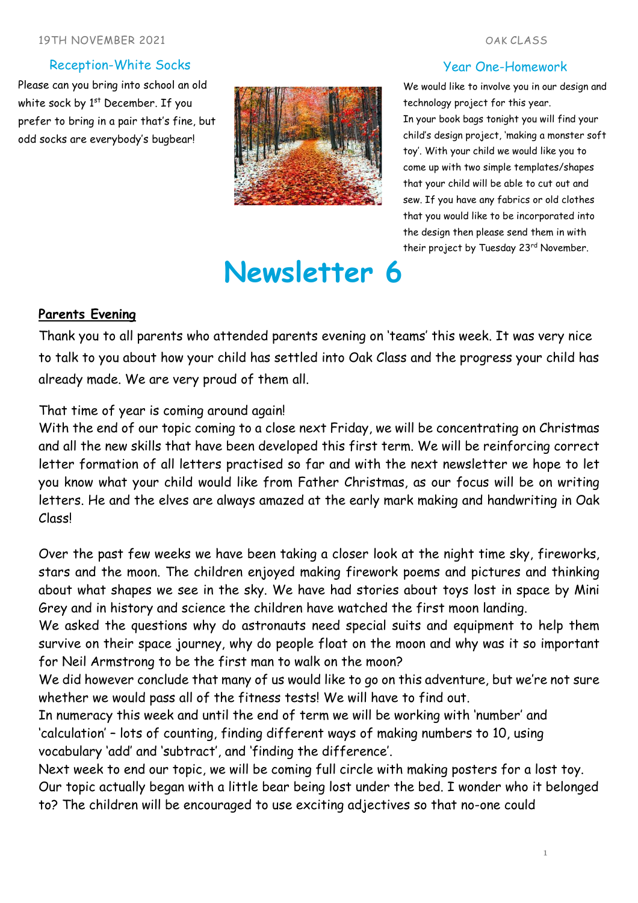#### Reception-White Socks

Please can you bring into school an old white sock by 1<sup>st</sup> December. If you prefer to bring in a pair that's fine, but odd socks are everybody's bugbear!



# **Newsletter 6**

#### Year One-Homework

We would like to involve you in our design and technology project for this year. In your book bags tonight you will find your child's design project, 'making a monster soft toy'. With your child we would like you to come up with two simple templates/shapes that your child will be able to cut out and sew. If you have any fabrics or old clothes that you would like to be incorporated into the design then please send them in with their project by Tuesday 23rd November.

### **Parents Evening**

Thank you to all parents who attended parents evening on 'teams' this week. It was very nice to talk to you about how your child has settled into Oak Class and the progress your child has already made. We are very proud of them all.

# That time of year is coming around again!

With the end of our topic coming to a close next Friday, we will be concentrating on Christmas and all the new skills that have been developed this first term. We will be reinforcing correct letter formation of all letters practised so far and with the next newsletter we hope to let you know what your child would like from Father Christmas, as our focus will be on writing letters. He and the elves are always amazed at the early mark making and handwriting in Oak Class!

Over the past few weeks we have been taking a closer look at the night time sky, fireworks, stars and the moon. The children enjoyed making firework poems and pictures and thinking about what shapes we see in the sky. We have had stories about toys lost in space by Mini Grey and in history and science the children have watched the first moon landing.

We asked the questions why do astronauts need special suits and equipment to help them survive on their space journey, why do people float on the moon and why was it so important for Neil Armstrong to be the first man to walk on the moon?

We did however conclude that many of us would like to go on this adventure, but we're not sure whether we would pass all of the fitness tests! We will have to find out.

In numeracy this week and until the end of term we will be working with 'number' and 'calculation' – lots of counting, finding different ways of making numbers to 10, using vocabulary 'add' and 'subtract', and 'finding the difference'.

Next week to end our topic, we will be coming full circle with making posters for a lost toy. Our topic actually began with a little bear being lost under the bed. I wonder who it belonged to? The children will be encouraged to use exciting adjectives so that no-one could